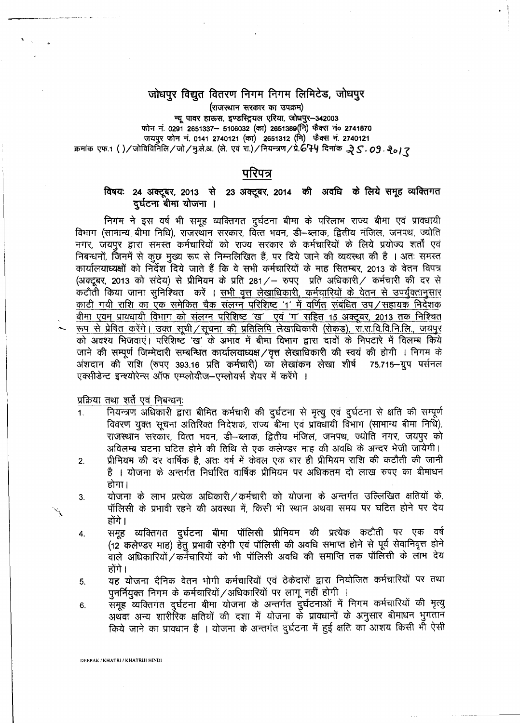### जोधपुर विद्युत वितरण निगम निगम लिमिटेड, जोधपुर

*(राजस्थान सरकार का उपक्रम)* 

न्यू पावर हाऊस, इण्डस्ट्रियल एरिया, जोधपुर-342003 फोन नं. 0291 2651337– 5106032 (का) 2651389(नि) फैक्स नं० 2741870 जयपुर फोन नं. 0141 2740121 (का) 2651312 (नि) फैक्स नं. 2740121  $\pi$ मांक एफ.1 ()/जोविविर्निलि/जो/मु.ले.अ. (ले. एवं रा.)/नियन्त्रण/प्रे.674 दिनांक .२८. 09. २<sub>०/</sub> २

#### परिपत्र

#### विषयः 24 अक्टूबर, 2013 से 23 अक्टूबर, 2014 की अवधि के लिये समूह व्यक्तिगत दुर्घटना बीमा योजना ।

निगम ने इस वर्ष भी समूह व्यक्तिगत दुर्घटना बीमा के परिलाभ राज्य बीमा एवं प्रावधायी विभाग (सामान्य बीमा निधि), राजस्थान सरकार, वित्त भवन, डी–ब्लाक, द्वितीय मंजिल, जनपथ, ज्योति नगर, जयपुर द्वारा समस्त कर्मचारियों को राज्य सरकार के कर्मचारियों के लिये प्रयोज्य शर्तों एवं निबन्धनों, जिनमें से कुछ मुख्य रूप से निम्नलिखित हैं, पर दिये जाने की व्यवस्था की है । अतः समस्त कार्यालयाध्यक्षों को निर्देश दिये जाते हैं कि वे सभी कर्मचारियों के माह सितम्बर, 2013 के वेतन विपत्र (अक्टूबर, 2013 को संदेय) से प्रीमियम के प्रति 281/— रुपए) प्रति अधिकारी/ कर्मचारी की दर से कटौती किया जाना सुनिश्चित करें । सभी वृत्त लेखाधिकारी, कर्मचारियों के वेतन से उपर्युक्तानुसार काटी गयी राशि का एक समेकित चैक संलग्न परिशिष्ट '1' में वर्णित संबंधित उप ⁄ सहायक निदेशक बीमा एवम प्रावधायी विभाग को संलग्न परिशिष्ट 'ख' एवं 'ग' सहित 15 अक्टूबर, 2013 तक निश्चित रूप से प्रेषित करेंगे। उक्त सूची / सूचना की प्रतिलिपि लेखाधिकारी (रोकड़), रा.रा.वि.वि.नि.लि., जयपुर को अवश्य भिजवाएं। परिशिष्ट *'ख' के* अभाव में बीमा विभाग द्वारा दावों के निपटारे में विलम्ब किये जाने की सम्पूर्ण जिम्मेदारी सम्बन्धित कार्यालयाध्यक्ष / वृत्त लेखाधिकारी की स्वयं की होगी । निगम के अंशदान की राशि (रुपए 393.16 प्रति कर्मचारी) का लेखांकन लेखा शीर्ष 75.715–ग्रुप पर्सनल एक्सीडेन्ट इन्श्योरेन्स ऑफ एम्प्लोयीज-एम्लोयर्स शेयर में करेंगे ।

प्रक्रिया तथा शर्तें एवं निबन्धनः

- 1. नियन्त्रण अधिकारी द्वारा बीमित कर्मचारी की दुर्घटना से मृत्यु एवं दुर्घटना से क्षति की सम्पूर्ण विवरण युक्त सूचना अतिरिक्त निदेशक, राज्य बीमा एवं प्रावधायी विभाग (सामान्य बीमा निधि), राजस्थान सरकार, वित्त भवन, डी-ब्लाक, द्वितीय मंजिल, जनपथ, ज्योति नगर, जयपूर को अविलम्ब घटना घटित होने की तिथि से एक कलेण्डर माह की अवधि के अन्दर भेजी जायेगी।
- 2. . . प्रीमियम की दर वार्षिक है. अतः वर्ष में केवल एक बार ही प्रीमियम राशि की कटौती की जानी है । योजना के अन्तर्गत निर्धारित वार्षिक प्रीमियम पर अधिकतम दो लाख रुपए का बीमाधन होगा।
- 3. योजना के लाभ प्रत्येक अधिकारी ⁄ कर्मचारी को योजना के अन्तर्गत उल्लिखित क्षतियों के, पॉलिसी के प्रभावी रहने की अवस्था में, किसी भी स्थान अथवा समय पर घटित होने पर देय होंगे ।
- 4. समुह व्यक्तिगत दूर्घटना बीमा पॉलिसी प्रीमियम की प्रत्येक कटौती पर एक वर्ष (12 कलेण्डर माह) हेतु प्रभावी रहेगी एवं पॉलिसी की अवधि समाप्त होने से पूर्व सेवानिवृत्त होने वाले अधिकारियों  $/$  कर्मचारियों को भी पॉलिसी अवधि की समाप्ति तक पॉलिसी के लाभ देय होंगे ।
- 5. यह योजना दैनिक वेतन भोगी कर्मचारियों एवं ठेकेदारों द्वारा नियोजित कर्मचारियों पर तथा पुनर्नियुक्त निगम के कर्मचारियों / अधिकारियों पर लागू नहीं होगी ।
- 6. समूह व्यक्तिगत दुर्घटना बीमा योजना के अन्तर्गत दुर्घटनाओं में निगम कर्मचारियों की मृत्यु अथवा अन्य शारीरिक क्षतियों की दशा में योजना के प्रावधानों के अनुसार बीमाधन भुगतान किये जाने का प्रावधान है । योजना के अन्तर्गत दुर्घटना में हुई क्षति का आशय किसी भी ऐसी

DEEPAK / KHATRI / KHATRIJI HINDI

 $\tilde{\mathcal{L}}$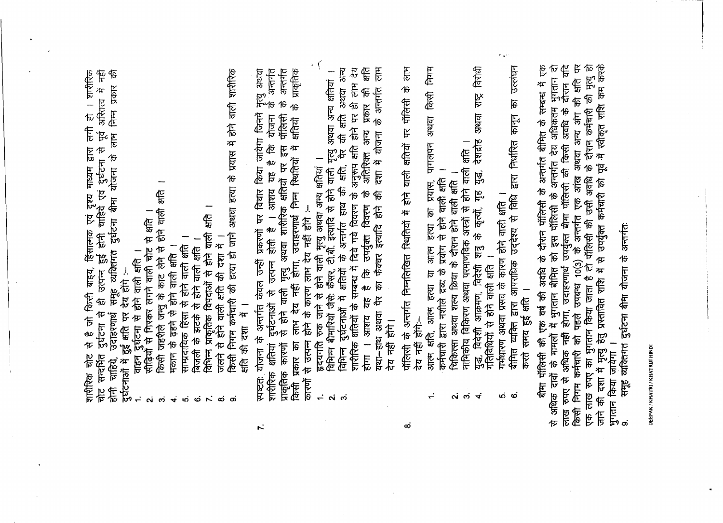' से है जो किसी बाह्य, हिंसात्मक एवं दृश्य माध्यम द्वारा लगी हो । शारीरिक<br>' दुर्घटना से ही उत्पन्न हुई होनी चाहिये एवं दुर्घटना से पूर्व अस्तित्व में नहीं<br>'उदाहरणार्थ समूह व्यक्तिगत दुर्घटना बीमा योजना के लाभ निम्न प्रकार दुर्घटनाओं में हुई क्षति पर देय होंगे :--<br>1. दुर्घटना से होने वाली क्षति ।<br>2. सीढ़ियों से गिरकर लगने वाली चोट से क्षति शारीरिक चोट से चोट सन्दर्भित होनी चाहिये,

- 
- किसी जहरीले जन्तु के काट लेने से होने वाली क्षति ।<br>मकान के ढहने से होने वाली क्षति ।<br>साम्प्रदायिक हिंसा से होने वाली क्षति ।<br>बिजली के झटके से होने वाली क्षति ।<br>विभिन्न प्राकृतिक विपदाओं से होने वाली क्षति ।<br>विभिन्न प्राकृ  $\dot{\mathbf{c}}$ 
	- $\vec{v}$ 
		- ທ່
- ထံ
	- $\mathbf{r}$
- $\dot{\infty}$
- किसी निगम कर्मचारी की हत्या हो जाने का बांध हत्या है के प्राप्त में होने वारीरिक क्षति की दशा में । တ
- स्पष्टत: योजना के अन्तर्गत केवल उन्हीं प्रकरणों पर विचार किया जायेगा जिनमें मृत्यु अथवा<br>शाशैरिक कारणों से होने वाली मृत्यु अथवा शारीरिक क्षतियों पर इस पॉलिसी के अन्तर्गत<br>किसी प्रकार का लाभ देय नहीं होगा, उदाहरणार्थ निम्न
	-
- । भाग में उन्हें गया है। सम्बन्ध में दिये गये विवरण के अनुरूप क्षति होने पर ही लाभ देय<br>शारीरिक क्षतियों के सम्बन्ध में दिये गये विवरण के अतिरिक्त अन्य प्रकार की क्षति<br>होगा । आशय यह है कि उपर्युक्त विवरण के अतिरिक्त अन्य प यथा-हाथ अथवा पैर का फैक्चर इत्यादि होने की दशा में योजना के अन्तर्गत लाभ 古有中
	- पॉलिसी के अन्तर्गत निम्नलिखित स्थितियों में होने वाली क्षतियों पर पॅलिसी के लाम<br>देय नहीं होंगे:--

ထံ

- निगम पागलपन अथवा किसी आत्म क्षति, आत्म हत्या या आत्म हत्या का प्रयास, पा<br>कर्मचारी द्वारा नशीले द्रव्य के प्रयोग से होने वाली क्षति ।<br>चिकित्सा अथवा शत्य क्रिया के दौरान होने वाली क्षति ।
	-
	- പ്പ് ന്
- विरोधी देशद्रोह अथवा राष्ट्र नाभिकीय विकिरण अथवा परमाणविक अस्त्रों से होने वाली क्षति ।<br>युद्ध, विदेशी आक्रमण, विदेशी शत्रु के कृत्यों, गृह युद्ध, देशद्रोह<br>गतिविधियों से होने वाली क्षति ।  $\vec{r}$ 
	- गर्भधारण अथवा प्रसव के कारण होने वाली क्षति ।
- बीमित व्यक्ति द्वारा आपराधिक उद्देश्य से विधि द्वारा निर्धारित कानून का उल्लंघन करते समय हुई क्षति । <sub>ယ်</sub> ထ

बीमा पॉलिसी की एक वर्ष की अवधि के दौरान पॉलिसी के अन्तर्गत बीमित के सम्बन्ध में एक<br>से अधिक दावों के मामलों में भुगतान बीमित को इस पॉलिसी के अन्तर्गत देय अधिकतम भुगतान दो<br>लाख रुपए से अधिक नहीं होगा, उदाहरणार्थ उपर्युक्त बी भुगतान किया जायेगा ।<br>प

समूह व्यक्तिगत दुर्घटना बीमा योजना के अन्तर्गतः

DEEPAK / KHATRI / KHATRIJI HINDI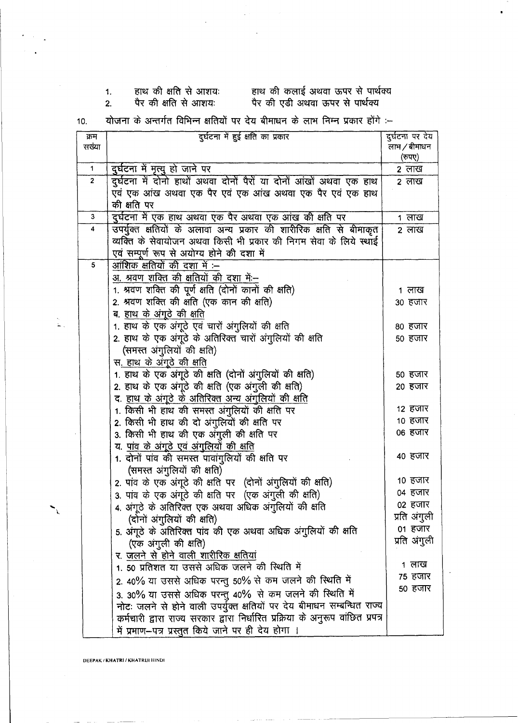### 1. हाथ की क्षति से आशय: हाथ की कल

# 2. पैर की क्षति से आशयः पैर की एडी 3

10. योजना के अन्तर्गत विभिन्न क्षतियों पर देय बीमाधन के लाभ निम्न प्रकार होंगे :--

| क्रम           | दुर्घटना में हुई क्षति का प्रकार                                                | दुर्घटना पर देय |  |
|----------------|---------------------------------------------------------------------------------|-----------------|--|
| सख्या          |                                                                                 | लाभ / बीमाधन    |  |
|                |                                                                                 | (रुपए)          |  |
| $\mathbf{1}$   | दुर्घटना में मृत्यु हो जाने पर                                                  | 2 लाख           |  |
| $\overline{2}$ | दुर्घटना में दोनो हाथों अथवा दोनों पैरों या दोनों आंखों अथवा एक हाथ             | 2 लाख           |  |
|                | एवं एक आंख अथवा एक पैर एवं एक आंख अथवा एक पैर एवं एक हाथ                        |                 |  |
|                | की क्षति पर                                                                     |                 |  |
| 3              | दुर्घटना में एक हाथ अथवा एक पैर अथवा एक आंख की क्षति पर                         | 1 लाख           |  |
| 4              | उपर्युक्त क्षतियों के अलावा अन्य प्रकार की शारीरिक क्षति से बीमाकृत             | 2 लाख           |  |
|                | व्यक्ति के सेवायोजन अथवा किसी भी प्रकार की निगम सेवा के लिये स्थाई              |                 |  |
|                | एवं सम्पूर्ण रूप से अयोग्य होने की दशा में                                      |                 |  |
| 5              | <u>आंशिक क्षतियों की दशा में :—</u>                                             |                 |  |
|                | <u>अ. श्रवण शक्ति की क्षतियों की दशा में:--</u>                                 |                 |  |
|                | 1. श्रवण शक्ति की पूर्ण क्षति (दोनों कानों की क्षति)                            | 1 लाख           |  |
|                | 2. श्रवण शक्ति की क्षति (एक कान की क्षति)                                       | 30 हजार         |  |
|                | <u>ब. हाथ के अंगूठे की क्षति</u>                                                |                 |  |
|                | 1. हाथ के एक अंगूठे एवं चारों अंगुलियों की क्षति                                |                 |  |
|                |                                                                                 | 80 हजार         |  |
|                | 2. हाथ के एक अंगूठे के अतिरिक्त चारों अंगुलियों की क्षति                        | 50 हजार         |  |
|                | (समस्त अंगुलियों की क्षति)                                                      |                 |  |
|                | स <u>. हाथ के अंगूठे की क्षति</u>                                               |                 |  |
|                | 1. हाथ के एक अंगूठे की क्षति (दोनों अंगुलियों की क्षति)                         | 50 हजार         |  |
|                | 2. हाथ के एक अंगूठे की क्षति (एक अंगुली की क्षति)                               | 20 हजार         |  |
|                | <u>द. हाथ के अंगूठे के अतिरिक्त अन्य अंगुलियों की क्षति</u>                     |                 |  |
|                | 1. किसी भी हाथ की समस्त अंगुलियों की क्षति पर                                   | 12 हजार         |  |
|                | 2. किसी भी हाथ की दो अंगुलियों की क्षति पर                                      | 10 हजार         |  |
|                | 3. किसी भी हाथ की एक अंगुली की क्षति पर                                         | ०६ हजार         |  |
|                | <u>य. पांव के अंगूठे एवं अंगुलियों की क्षति</u>                                 |                 |  |
|                | 1. दोनों पांव की समस्त पावांगुलियों की क्षति पर                                 | 40 हजार         |  |
|                | (समस्त अंगुलियों की क्षति)                                                      |                 |  |
|                | 2. पांव के एक अंगूठे की क्षति पर (दोनों अंगुलियों की क्षति)                     | 10 हजार         |  |
|                | 3. पांव के एक अंगूठे की क्षति पर (एक अंगुली की क्षति)                           | 04 हजार         |  |
|                | 4. अंगूठे के अतिरिक्त एक अथवा अधिक अंगुलियों की क्षति                           | ०२ हजार         |  |
|                | (दोनों अंगुलियों की क्षति)                                                      | प्रति अंगुली    |  |
|                | 5. अंगूठे के अतिरिक्त पांव की एक अथवा अधिक अंगुलियों की क्षति                   | 01 हजार         |  |
|                | (एक अंगुली की क्षति)                                                            | प्रति अंगुली    |  |
|                | <u>र. जलने से होने वाली शारीरिक क्षतियां</u>                                    |                 |  |
|                | 1. 50 प्रतिशत या उससे अधिक जलने की स्थिति में                                   | 1 लाख           |  |
|                | 2. 40% या उससे अधिक परन्तु 50% से कम जलने की स्थिति में                         | 75 हजार         |  |
|                |                                                                                 | 50 हजार         |  |
|                | 3. 30% या उससे अधिक परन्तु 40% से कम जलने की स्थिति में                         |                 |  |
|                | नोटः जलने से होने वाली उपर्युक्त क्षतियों पर देय बीमाधन सम्बन्धित राज्य         |                 |  |
|                | कर्मचारी द्वारा राज्य सरकार द्वारा निर्धारित प्रक्रिया के अनुरूप वांछित प्रपत्र |                 |  |
|                | में प्रमाण--पत्र प्रस्तुत किये जाने पर ही देय होगा ।                            |                 |  |

DEEPAK / KHATRI / KHATRIJI HINDI

..•.. I.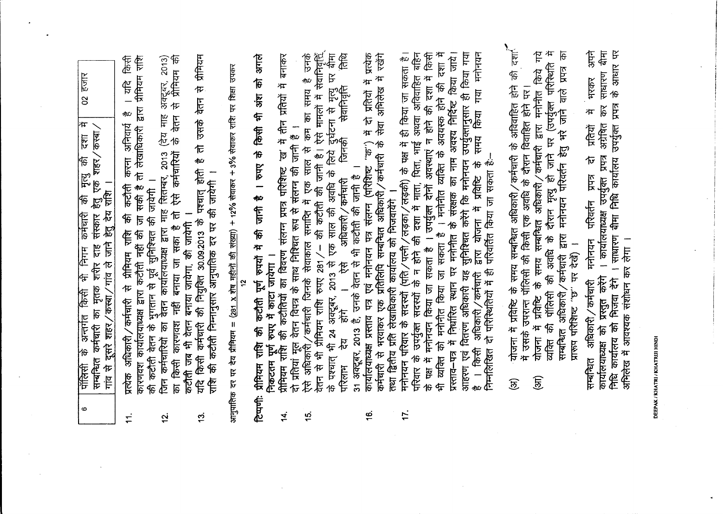| $\bullet$     | $02$ $\overline{5}$ $\overline{3}$<br>की मृत्यु की दशा में<br>शहर/कस्बा/<br>सम्बन्धित कर्मचारी का मृतक शरीर दाह संस्कार हेतु एक<br>गांव से दूसरे शहर/कस्बा/गांव ले जाने हेतु देय राशि ।<br>कर्मचारी<br>के अन्तर्गत किसी भी निगम<br>पॉलिसी                                                                                                                                                |
|---------------|------------------------------------------------------------------------------------------------------------------------------------------------------------------------------------------------------------------------------------------------------------------------------------------------------------------------------------------------------------------------------------------|
| $\dot{\tau}$  | तो लेखाधिकारी द्वारा प्रीमियम राशि<br>क्रियी<br>ी<br>न<br>11C<br>करना अनिवार्य<br><b>REA</b><br>和SER 万<br>Æ<br>प्रसिक अधिकारी/कर्मचारी सीमियम राशि<br>कारणवश कार्यालयाध्यक्ष द्वारा कटौती नहीं की                                                                                                                                                                                        |
| بي<br>ب       | 有<br>在<br>右<br>右<br>右<br><br>अक्टूबर, 2013)<br>(देय माह<br>के वेतन<br>ऐसे कर्मचारियों<br>की कटौती वेतन के भुगतान से पूर्व सुनिश्चित की जायेगी ।<br>जिन कर्मचारियों का वेतन कार्यालयाध्यक्ष द्वारा माह सितम्बर, 2013<br>किसी कारणश नहीं बनाया जा सका है तो<br>स्र                                                                                                                         |
| $\ddot{5}$    | 古希伯<br>वेतन<br>货币信<br>加<br>यदि किसी कर्मचारी की नियुक्ति 30.09.2013 के पश्चात् होती<br>की कटौती निम्नानुसार आनुपातिक दर पर की जायेगी ।<br>- वर्तमा जब में बनाया बनाय है कि स्टूटर<br>हि                                                                                                                                                                                                  |
|               | आनुपातिक दर पर देय प्रीमियम = ( <u>281 x शेष महीनों की संख्या)</u> + 12% सेवाकर + 3% सेवाकर राशि पर शिक्षा उपकर<br>ă                                                                                                                                                                                                                                                                     |
|               | क्षाले<br>टिप्पणी: प्रीमियम राशि की पूर्ण रुपयों में की जानी है। रुपए के किसी भी अंश को<br>निकटतम पूर्ण रुपए में काटा जायेगा ।                                                                                                                                                                                                                                                           |
| 4.            | बनाकर<br>प्रेमियम राशि की कटौतियों का विवरण संलग्न प्रपत्र विवर्ण के बीच में मै                                                                                                                                                                                                                                                                                                          |
| $\frac{1}{2}$ | उनके<br>कम का समय है<br>दो प्रतियां मूल वेतन विपत्र के साथ निश्चित रूप से संलग्न की जानी हैं ।<br>ऐसे अधिकारी ⁄ कर्मचारी जिनके सेवाकाल समाप्ति में एक साल से कम                                                                                                                                                                                                                          |
|               | वेतन से भी प्रीमियम राशि रुपए 281 / – की कटौती की जानी है । ऐसे मामलों में सेवानिवृद्धि<br>के पश्चात् भी 24 अक्टूबर, 2013 से एक साल की अवधि के लिये दुर्घटना से मृत्यु पर बीमा<br>परिलाम  देय   होंगे   ।   ऐसे   अधिकारी / कर्मचार                                                                                                                                                      |
| <u>ی</u>      | कार्यालयाध्यक्ष प्रस्ताव पत्र एवं मनोनयन पत्र संलग्न (परिशिष्ट "क") में दो प्रतियों में प्रत्येक<br>雨<br>在 可信号 中<br>कर्मचारी से भरवाकर एक प्रतिलिपि सम्बन्धित अधिकारी/कर्मचारी के                                                                                                                                                                                                        |
| 17.           | मनोनयन परिवार के सदस्यों (पति / पत्नी / लड़का / लड़की) के पक्ष में ही किया जा सकता है।<br>परिवार के उपयुक्त सदस्यों के न होने की दशा में माता, पिता, भाई अथवा अविवाहित बहिन<br>तथा द्वितीय प्रति संखाधिकारी कार्यालय को भिजवायेंगे ।                                                                                                                                                     |
|               | के पक्ष में मनोनयन किया जा सकता है । उपर्युक्त दोनों अवस्थाएं न होने की दशा में किसी<br>Æ                                                                                                                                                                                                                                                                                                |
|               | भी व्यक्ति को मनोनीत किया जा सकता है । मनोनीत व्यक्ति के अवयस्क होने की दशा में<br>प्रस्ताव–पत्र में निर्धारित स्थान पर मनोनीत के संरक्षक का नाम अवश्य निर्दिष्ट किया जाये।<br>आहरण एवं वितरण अधिकारी यह सुनिश्चित करेंगे कि मनोनयन उपर्युक्तानुसार ही किया गया<br>गया मनोनयन<br>समय किया<br>$\frac{1}{6}$<br>द्वारा योजना में प्रतिष्टि<br>अधिकारी / कर्मचारी<br>किसी<br>$\overline{a}$ |
|               | -~ ii huest hot head the headed to headed to headed headed headed headed headed to headed headed headed headed                                                                                                                                                                                                                                                                           |
|               | योजना में प्रविष्टि के समय सम्बन्धित अधिकारी ⁄ कर्मचारी के अविवाहित होने की दर्शा <sup>4</sup><br>में प्रविष्टि के समय सम्बन्धित अधिकारी/कर्मचारी द्वारा मनोनीत किये गये<br>में एक देश विवाहित से पहले पर किसी की सिर्क्ष्म के देश के पहले पर पर पर देश के साथ पर प<br>योजना<br>$\widehat{\mathfrak{F}}$<br>$\widehat{\mathfrak{G}}$                                                     |
|               | 冲<br>सि<br>व्यक्ति की पॉलिसी की अवधि के दौरान मृत्यु हो जाने पर (उपर्युक्त परिस्थिति<br>सम्बन्धित अधिकारी/कर्मचारी द्वारा मनोनयन परिवर्तन हेतु भरे जाने वाले प्रपत्र<br>प्रारूप परिशिष्ट "छ" पर देखें) ।                                                                                                                                                                                 |
|               | के आधार पर<br>र्दमा<br>1<br>15<br>साधारण<br>भरकर<br>हमप्र<br>क्रि<br>Æ<br><b>SHIPE</b><br>निधि कार्यालय को भिजेंदा देंगे । साधारण बीमा निधि कार्यालय उपर्युक्त<br>प्रतियों<br>कार्यालयाध्यक्ष को प्रस्तुत करेंगे । कार्यालयाध्यक्ष उपर्युक्त प्रपत्र<br>मनोनयन परिवर्तन प्राप्त्र दो<br>अभिलेख में आवश्यक संशोधन कर लेगा ।<br>सम्बन्धित अधिकारी/कर्मचारी                                 |

 $\overline{a}$ 

DEEPAK / KHATRI / KHATRIJI HINDI

 $\overline{a}$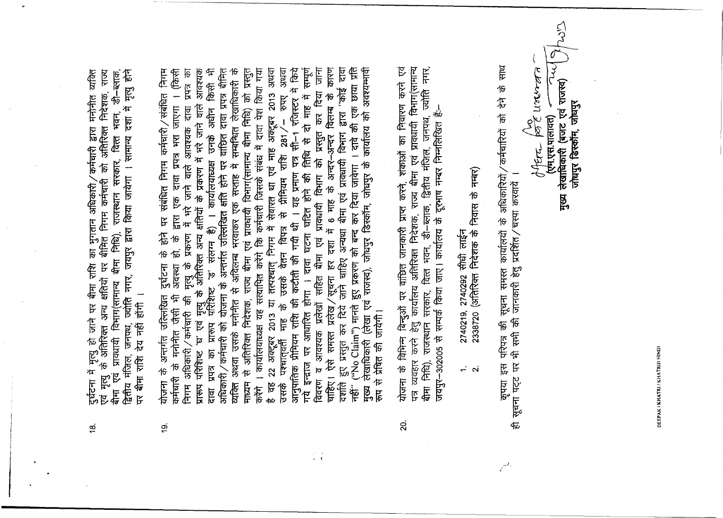DEEPAK/KHATRI/KHATRIJI HINDI

.. .. .. .. ,.. ,.......... ।वमाग(सामान्य बीमा निधि), राजस्थान सरकार, वित्ता भवन, डी–ब्लाक,<br>द्वितीय मंजिल, जनपथ, ज्योति नगर, जयपुर द्वारा किया जायेगा । सामान्य दशा में मृत्यु होने<br>पर बीमा राशि देय नहीं होंगी । दुर्घटना में मृत्यु हो जाने पर बीमा राशि का भुगतान अधिकारी ⁄ कर्मचारी द्वारा मनोनीत व्यक्ति<br>एवं मृत्यु के अतिरिक्त अन्य क्षतियों पर बीमित निगम कर्मचारी को अतिरिक्त निदेशक, राज्य<br>बीमा एवं प्रावधायी विभाग(सामान्य बीमा निधि)  $\frac{\infty}{2}$ 

- माध्यम से अतिरिक्त निदेशक, राज्य बीमा एवं प्रावशायी विभाग(सामान्य बीमा निधि) को प्रस्तुत<br>करेंगे । कार्यालयाध्यक्ष यह सत्यापित करेंगे कि कर्मचारी जिसके संबंध में दावा पेश किया गया<br>है वह 22 अक्टूबर 2013 या तत्पश्चात् निगम म दावा कारण मुख्य लेखाधिकारी (लेखा एवं राजस्व), जोधपुर डिस्कॉम, जोधपुर के कार्यालय को अवश्यम्भावी दावा प्रपत्र का प्रारूप पॅरिशिष्ट 'ड' संलग्न है) । कार्यालयाध्यक्ष उनके अधीन किसी भी<br>अधिकारी/कर्मचारी को योजना के अन्तर्गत उत्त्लिखित क्षति होने पर वांछित दावा प्रपत्र बीमित् कर दिया जाना नहीं" ("No Claim") मानते हुए प्रकरण को बन्द कर दिया जावेगा । दावे की एक छाया प्रति योजना के अन्तर्गत उत्तिखित दुर्घटना के होने पर संबंधित निगम कर्मचारी ⁄ संबंधित निगम<br>कर्मचारी के मनोनीत जैसी भी अवस्था हो, के द्वारा एक दावा प्रपत्र भरा जाएगा । (किसी निगम अधिकारी / कर्मचारी की मृत्यु के प्रकरण में भरे जाने वाले आवश्यक दावा प्रपत्र का<br>प्रारूप परिशिष्ट 'घ' एवं मृत्यु के अतिरिक्त अन्य क्षतियों के प्रकरण में भरे जाने वाले आवश्यक<br>दावा प्रपत्र का प्रारूप परिशिष्ट 'ड' संलग्न हुए प्रस्तुत कर दिये जाने चाहिए अन्यथा बीमा एवं प्रावधायी विभाग द्वारा "कोई प्रावधायी विभाग को प्रस्तुत कर दिया<br>में 6 माह के अन्दर–अन्दर विलम्ब के चाहिए। ऐसे समस्त प्रलेख/सूचना हर दशा में आवश्यक प्रलेखों सहित बीमा एवं 一年在12年 在 在 在 正 विवरण व दशति ó.
- योजना के विभिन्न बिन्दुओं पर वांछित जानकारी प्राप्त करने, शंकाओं का निवारण करने एवं पत्र व्यवहार करने हेतु कार्यालय अतिरिक्त निदेशक, राज्य बीमा एवं प्रावधायी विभाग(सामान्य<br>बीमा निधि), राजस्थान सरकार, वित्त भवन, डी–ब्लाक, द्वितीय मंजिल, जनपथ, ज्योति नगर, बीमा निधि), राजस्थान सरकार, वित्त भवन, डी–ब्लाक, द्वितीय मंजिल, जनपथ, ज<br>जयपुर–302005 से सम्पर्क किया जाए। कार्यालय के दूरभाष नम्बर निम्नलिखित हैं:–  $\overline{a}$

2740292 सीधी लाईन 2740219  $\div$   $\sim$ 

2338720 (अतिरिक्त निदेशक के निवास के नम्बर)

कृपया इस परिपत्र की सूचना समस्त कार्यालयों के अधिकारियों / कर्मचारियों को देने के साथ<br>ही सूचना पट्ट पर भी सभी की जानकारी हेतु प्रदर्शित / चस्पा करवायें । offere por vouvra  $252$ 

الح<br>اح

मुख्य लेखाधिकारी (बजट एवं राजस्व)

(एम.एस.पालावत)

जोघपुर डिस्कॉम, जोघपुर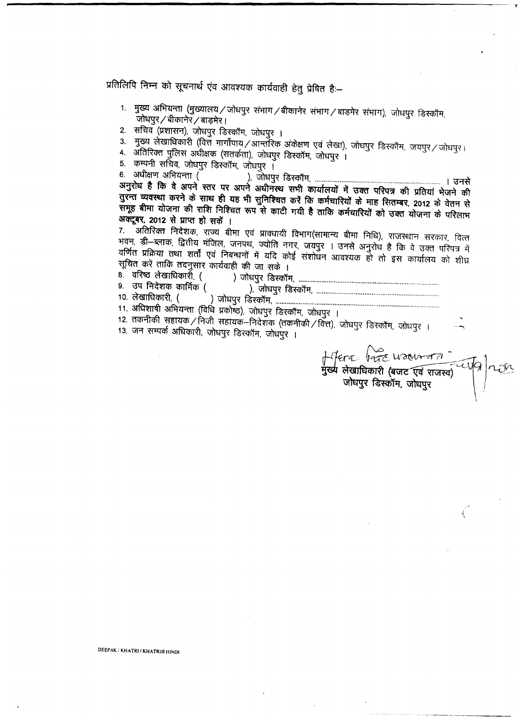प्रतिलिपि निम्न को सूचनार्थ एंव आवश्यक कार्यवाही हेतु प्रेषित है**:**-

- 1. मुख्य अभियन्ता (मुख्यालय / जोधपुर संभाग / बीकानेर संभाग / बाड़मेर संभाग), जोधपुर डिस्कॉम, जोधपुर / बीकानेर / बाड़मेर ।
- 2. सचिव (प्रशासन), जोधपुर डिस्कॉम, जोधपुर ।
- 3. मुख्य लेखाधिकारी (वित्तं मार्गोपाय / आन्तॉरेक अंकेक्षण एवं लेखा), जोधपुर डिस्कॉम, जयपुर / जोधपुर।
- 4. अतिरिक्त पुलिस अधीक्षक (सतर्कता), जोधपुर डिस्कॉम, जोधपुर ।
- 

5. ~mmr.~~.~ <sup>1</sup> 6. 3l'tfraTUf.~ ( ). ~~ 1 ~ ~ !~~&tR <sup>~</sup> tR &tR <sup>~</sup> <sup>~</sup> qm~fcl41II \iCffi' <sup>~</sup> <sup>~</sup> <sup>~</sup> <sup>~</sup> <sup>~</sup> तुरन्त व्यवस्था करने के साथ ही यह भी सुनिश्चित करें कि कर्मचारियों के माह सितम्बर, 2012 के वेतन से समूह बीमा योजना की राशि निश्चित रूप से काटी गयी है ताकि कर्मचारियों को उक्त योजना के परिलाभ अक्टूबर, 2012 से प्राप्त हो सकें ।

7. ^ अतिरिक्त निदेशक, राज्य बीमा एवं प्रावधायी विभाग(सामान्य बीमा निधि), राजस्थान सरकार, वित्त भवन, डी-ब्लाक, द्वितीय मंजिल, जनपथ, ज्योति नगर, जयपुर । उनसे अनुरोध है कि वे उक्त परिपत्र में वाणत प्रक्रिया तथा शर्तो एवं निबन्धनों में यदि कोई संशोधन आवश्यक हो तो इस कार्यालय को शीघ्र<br>सूचित करें ताकि तदनुसार कार्यवाही की जा सके ।

8. ~~.( )~~ •............................................................................... 9. \31T~ CfiTflfq; ( ). ~ ~ " " " .

- 10.~. ( ) ~~ •....................." " " " .
- 11. अधिशाषी अभियन्ता (विधि प्रकोष्ठ), जोधपुर डिस्कॉम, जोधपुर ।

12. तकनीकी सहायक / निजी सहायक-निदेशक (तकनीकी / वित), जोधपुर डिस्कॉम, जोधपुर ।

13. जन सम्पर्क अधिकारी, जोधपुर डिस्कॉम, जोधपुर ।

 $\tau$   $\text{Var}$  usaw  $\tau$   $\tau$  $\frac{1}{2}$  and  $\frac{1}{2}$  and  $\frac{1}{2}$  in  $\frac{1}{2}$  for  $\frac{1}{2}$  for  $\frac{1}{2}$  for  $\frac{1}{2}$  for  $\frac{1}{2}$  for  $\frac{1}{2}$  for  $\frac{1}{2}$  for  $\frac{1}{2}$  for  $\frac{1}{2}$  for  $\frac{1}{2}$  for  $\frac{1}{2}$  for  $\frac{1}{2}$  for  $\frac{1}{2}$  fo ~ ~t<t>l¥f, ~ <sup>I</sup>

-I .<br>,

DEEPAK *I* KHATRI! KHATRIJI HINDI